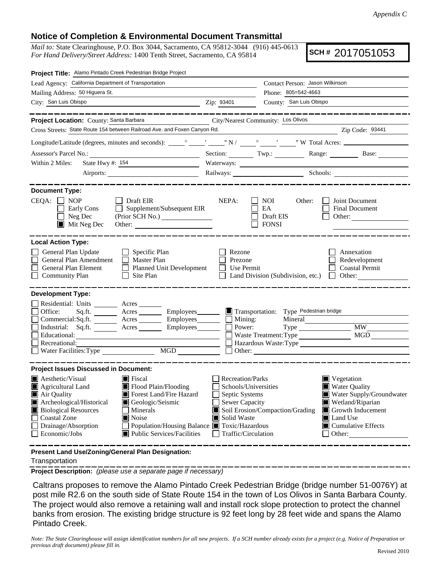## **Notice of Completion & Environmental Document Transmittal**

*Mail to:* State Clearinghouse, P.O. Box 3044, Sacramento, CA 95812-3044 (916) 445-0613 *For Hand Delivery/Street Address:* 1400 Tenth Street, Sacramento, CA 95814

**SCH #** 2017051053

| Project Title: Alamo Pintado Creek Pedestrian Bridge Project                                                                                                                                                                                                                                                                                              |                                                                                                                                                                                             |                                                                                                    |                                                                                |  |  |  |
|-----------------------------------------------------------------------------------------------------------------------------------------------------------------------------------------------------------------------------------------------------------------------------------------------------------------------------------------------------------|---------------------------------------------------------------------------------------------------------------------------------------------------------------------------------------------|----------------------------------------------------------------------------------------------------|--------------------------------------------------------------------------------|--|--|--|
| Lead Agency: California Department of Transportation                                                                                                                                                                                                                                                                                                      | Contact Person: Jason Wilkinson                                                                                                                                                             |                                                                                                    |                                                                                |  |  |  |
| Mailing Address: 50 Higuera St.                                                                                                                                                                                                                                                                                                                           |                                                                                                                                                                                             | Phone: 805=542-4663                                                                                |                                                                                |  |  |  |
| City: San Luis Obispo<br><u> 1989 - Johann Barbara, martin amerikan basal dan berasal dalam basal dalam basal dalam basal dalam basal dala</u>                                                                                                                                                                                                            | Zip: 93401                                                                                                                                                                                  | County: San Luis Obispo                                                                            |                                                                                |  |  |  |
| . __ __ __ __ __ __ __ _                                                                                                                                                                                                                                                                                                                                  |                                                                                                                                                                                             |                                                                                                    |                                                                                |  |  |  |
| Project Location: County: Santa Barbara<br>City/Nearest Community: Los Olivos                                                                                                                                                                                                                                                                             |                                                                                                                                                                                             |                                                                                                    |                                                                                |  |  |  |
| Cross Streets: State Route 154 between Railroad Ave. and Foxen Canyon Rd.                                                                                                                                                                                                                                                                                 |                                                                                                                                                                                             |                                                                                                    | Zip Code: 93441                                                                |  |  |  |
|                                                                                                                                                                                                                                                                                                                                                           |                                                                                                                                                                                             |                                                                                                    |                                                                                |  |  |  |
|                                                                                                                                                                                                                                                                                                                                                           |                                                                                                                                                                                             |                                                                                                    | Section: Twp.: Range: Base:                                                    |  |  |  |
| State Hwy #: 154<br>Within 2 Miles:<br>the control of the control of the control of the control of                                                                                                                                                                                                                                                        |                                                                                                                                                                                             |                                                                                                    |                                                                                |  |  |  |
|                                                                                                                                                                                                                                                                                                                                                           |                                                                                                                                                                                             | Railways: Schools: Schools:                                                                        |                                                                                |  |  |  |
| <b>Document Type:</b><br>$CEQA: \Box NOP$<br>$\Box$ Draft EIR<br>$\Box$ Supplement/Subsequent EIR<br>Early Cons<br>Neg Dec<br>$\blacksquare$<br>$\blacksquare$ Mit Neg Dec                                                                                                                                                                                | NEPA:<br>⊔                                                                                                                                                                                  | NOI<br>Other:<br>EA<br>Draft EIS<br><b>FONSI</b>                                                   | Joint Document<br><b>Final Document</b><br>Other:                              |  |  |  |
| <b>Local Action Type:</b><br>General Plan Update<br>$\Box$ Specific Plan<br>General Plan Amendment<br>$\Box$ Master Plan<br>General Plan Element<br>Planned Unit Development<br><b>Community Plan</b><br>Site Plan<br>$\Box$                                                                                                                              | Rezone<br>Prezone<br>Use Permit                                                                                                                                                             | Land Division (Subdivision, etc.)                                                                  | Annexation<br>Redevelopment<br><b>Coastal Permit</b><br>$\mathbb{Z}$<br>Other: |  |  |  |
| <b>Development Type:</b><br>Residential: Units ________ Acres _______<br>Office:<br>Acres __________ Employees________<br>Sq.fit.<br>Commercial:Sq.ft. _________ Acres __________ Employees________<br>Industrial: Sq.ft. _______ Acres ________ Employees_______<br>Educational:<br>Recreational:<br>$\underbrace{\text{MGD}}$<br>Water Facilities: Type | Mining:<br>Power:                                                                                                                                                                           | Transportation: Type Pedestrian bridge<br>Mineral<br>Waste Treatment: Type<br>$\Box$ Other: $\Box$ | <b>MW</b><br>MGD<br>Hazardous Waste: Type                                      |  |  |  |
| <b>Project Issues Discussed in Document:</b><br>Aesthetic/Visual<br>$\blacksquare$ Fiscal<br>Agricultural Land<br>Flood Plain/Flooding<br>Forest Land/Fire Hazard<br>Air Quality                                                                                                                                                                          | <b>Recreation/Parks</b><br>Schools/Universities<br>Septic Systems                                                                                                                           |                                                                                                    | Vegetation<br><b>Water Quality</b><br>Water Supply/Groundwater                 |  |  |  |
| Archeological/Historical<br>Geologic/Seismic<br><b>Biological Resources</b><br>Minerals<br><b>Coastal Zone</b><br>Noise<br>Drainage/Absorption<br>Population/Housing Balance ■ Toxic/Hazardous<br>Public Services/Facilities<br>Economic/Jobs                                                                                                             | Sewer Capacity<br>Wetland/Riparian<br>Soil Erosion/Compaction/Grading<br>Growth Inducement<br>Solid Waste<br>Land Use<br>$\blacksquare$ Cumulative Effects<br>Traffic/Circulation<br>Other: |                                                                                                    |                                                                                |  |  |  |
| Present Land Use/Zoning/General Plan Designation:                                                                                                                                                                                                                                                                                                         |                                                                                                                                                                                             |                                                                                                    |                                                                                |  |  |  |

Transportation

**Project Description:** *(please use a separate page if necessary)*

 Caltrans proposes to remove the Alamo Pintado Creek Pedestrian Bridge (bridge number 51-0076Y) at post mile R2.6 on the south side of State Route 154 in the town of Los Olivos in Santa Barbara County. The project would also remove a retaining wall and install rock slope protection to protect the channel banks from erosion. The existing bridge structure is 92 feet long by 28 feet wide and spans the Alamo Pintado Creek.

*Note: The State Clearinghouse will assign identification numbers for all new projects. If a SCH number already exists for a project (e.g. Notice of Preparation or previous draft document) please fill in.*